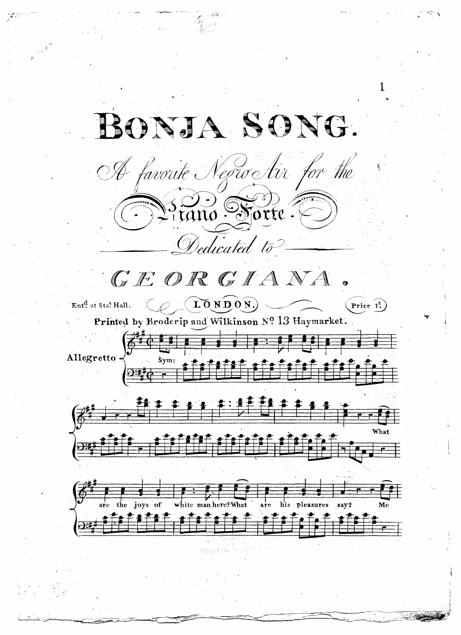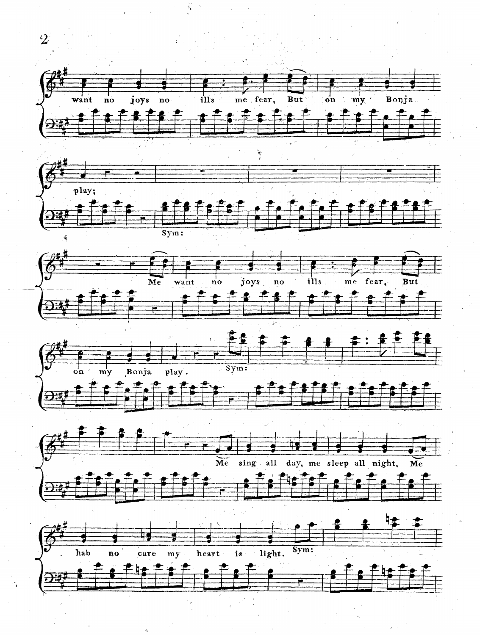

 $\mathcal{L}$